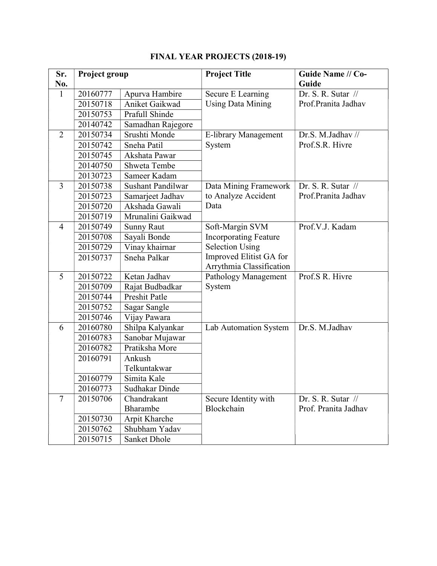| Sr.<br>No.     | Project group |                          | <b>Project Title</b>                                | Guide Name // Co-<br>Guide    |
|----------------|---------------|--------------------------|-----------------------------------------------------|-------------------------------|
| $\mathbf{1}$   | 20160777      | Apurva Hambire           | Secure E Learning                                   | Dr. S. R. Sutar $\frac{1}{2}$ |
|                | 20150718      | Aniket Gaikwad           | <b>Using Data Mining</b>                            | Prof.Pranita Jadhav           |
|                | 20150753      | Prafull Shinde           |                                                     |                               |
|                | 20140742      | Samadhan Rajegore        |                                                     |                               |
| $\overline{2}$ | 20150734      | Srushti Monde            | E-library Management                                | Dr.S. M.Jadhav //             |
|                | 20150742      | Sneha Patil              | System                                              | Prof.S.R. Hivre               |
|                | 20150745      | Akshata Pawar            |                                                     |                               |
|                | 20140750      | Shweta Tembe             |                                                     |                               |
|                | 20130723      | Sameer Kadam             |                                                     |                               |
| $\overline{3}$ | 20150738      | <b>Sushant Pandilwar</b> | Data Mining Framework                               | Dr. S. R. Sutar $\frac{1}{2}$ |
|                | 20150723      | Samarjeet Jadhav         | to Analyze Accident                                 | Prof.Pranita Jadhav           |
|                | 20150720      | Akshada Gawali           | Data                                                |                               |
|                | 20150719      | Mrunalini Gaikwad        |                                                     |                               |
| $\overline{4}$ | 20150749      | <b>Sunny Raut</b>        | Soft-Margin SVM                                     | Prof.V.J. Kadam               |
|                | 20150708      | Sayali Bonde             | <b>Incorporating Feature</b>                        |                               |
|                | 20150729      | Vinay khairnar           | <b>Selection Using</b>                              |                               |
|                | 20150737      | Sneha Palkar             | Improved Elitist GA for<br>Arrythmia Classification |                               |
| 5              | 20150722      | Ketan Jadhav             | Pathology Management                                | Prof.S R. Hivre               |
|                | 20150709      | Rajat Budbadkar          | System                                              |                               |
|                | 20150744      | Preshit Patle            |                                                     |                               |
|                | 20150752      | Sagar Sangle             |                                                     |                               |
|                | 20150746      | Vijay Pawara             |                                                     |                               |
| 6              | 20160780      | Shilpa Kalyankar         | Lab Automation System                               | Dr.S. M.Jadhav                |
|                | 20160783      | Sanobar Mujawar          |                                                     |                               |
|                | 20160782      | Pratiksha More           |                                                     |                               |
|                | 20160791      | Ankush                   |                                                     |                               |
|                |               | Telkuntakwar             |                                                     |                               |
|                | 20160779      | Simita Kale              |                                                     |                               |
|                | 20160773      | Sudhakar Dinde           |                                                     |                               |
| $\overline{7}$ | 20150706      | Chandrakant              | Secure Identity with                                | Dr. S. R. Sutar //            |
|                |               | Bharambe                 | Blockchain                                          | Prof. Pranita Jadhav          |
|                | 20150730      | Arpit Kharche            |                                                     |                               |
|                | 20150762      | Shubham Yadav            |                                                     |                               |
|                | 20150715      | Sanket Dhole             |                                                     |                               |

## FINAL YEAR PROJECTS (2018-19)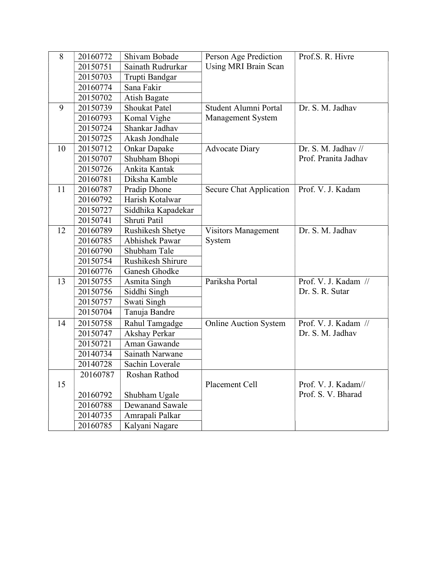| 8  | 20160772 | Shivam Bobade         | Person Age Prediction        | Prof.S. R. Hivre     |
|----|----------|-----------------------|------------------------------|----------------------|
|    | 20150751 | Sainath Rudrurkar     | Using MRI Brain Scan         |                      |
|    | 20150703 | Trupti Bandgar        |                              |                      |
|    | 20160774 | Sana Fakir            |                              |                      |
|    | 20150702 | Atish Bagate          |                              |                      |
| 9  | 20150739 | <b>Shoukat Patel</b>  | Student Alumni Portal        | Dr. S. M. Jadhav     |
|    | 20160793 | Komal Vighe           | Management System            |                      |
|    | 20150724 | Shankar Jadhav        |                              |                      |
|    | 20150725 | Akash Jondhale        |                              |                      |
| 10 | 20150712 | Onkar Dapake          | <b>Advocate Diary</b>        | Dr. S. M. Jadhav //  |
|    | 20150707 | Shubham Bhopi         |                              | Prof. Pranita Jadhav |
|    | 20150726 | Ankita Kantak         |                              |                      |
|    | 20160781 | Diksha Kamble         |                              |                      |
| 11 | 20160787 | Pradip Dhone          | Secure Chat Application      | Prof. V. J. Kadam    |
|    | 20160792 | Harish Kotalwar       |                              |                      |
|    | 20150727 | Siddhika Kapadekar    |                              |                      |
|    | 20150741 | Shruti Patil          |                              |                      |
| 12 | 20160789 | Rushikesh Shetye      | <b>Visitors Management</b>   | Dr. S. M. Jadhav     |
|    | 20160785 | <b>Abhishek Pawar</b> | System                       |                      |
|    | 20160790 | Shubham Tale          |                              |                      |
|    | 20150754 | Rushikesh Shirure     |                              |                      |
|    | 20160776 | Ganesh Ghodke         |                              |                      |
| 13 | 20150755 | Asmita Singh          | Pariksha Portal              | Prof. V. J. Kadam // |
|    | 20150756 | Siddhi Singh          |                              | Dr. S. R. Sutar      |
|    | 20150757 | Swati Singh           |                              |                      |
|    | 20150704 | Tanuja Bandre         |                              |                      |
| 14 | 20150758 | Rahul Tamgadge        | <b>Online Auction System</b> | Prof. V. J. Kadam // |
|    | 20150747 | Akshay Perkar         |                              | Dr. S. M. Jadhav     |
|    | 20150721 | Aman Gawande          |                              |                      |
|    | 20140734 | Sainath Narwane       |                              |                      |
|    | 20140728 | Sachin Loverale       |                              |                      |
|    | 20160787 | Roshan Rathod         |                              |                      |
| 15 |          |                       | Placement Cell               | Prof. V. J. Kadam//  |
|    | 20160792 | Shubham Ugale         |                              | Prof. S. V. Bharad   |
|    | 20160788 | Dewanand Sawale       |                              |                      |
|    | 20140735 | Amrapali Palkar       |                              |                      |
|    | 20160785 | Kalyani Nagare        |                              |                      |